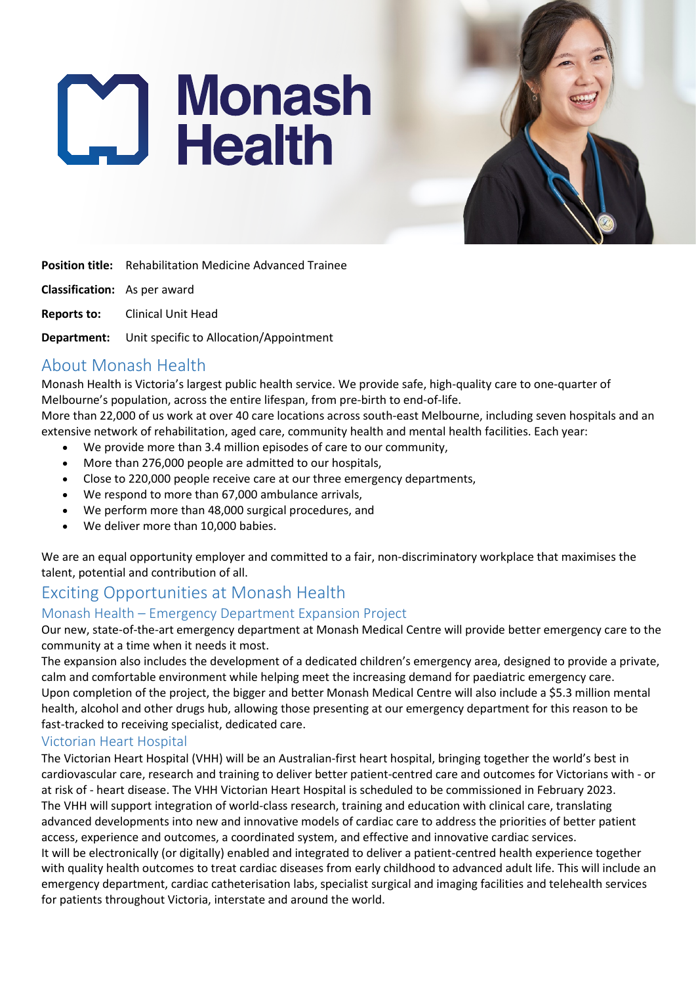# **Monash**<br>Laith



**Position title:** Rehabilitation Medicine Advanced Trainee

**Classification:** As per award

**Reports to:** Clinical Unit Head

**Department:** Unit specific to Allocation/Appointment

## About Monash Health

Monash Health is Victoria's largest public health service. We provide safe, high-quality care to one-quarter of Melbourne's population, across the entire lifespan, from pre-birth to end-of-life.

More than 22,000 of us work at over 40 care locations across south-east Melbourne, including seven hospitals and an extensive network of rehabilitation, aged care, community health and mental health facilities. Each year:

- We provide more than 3.4 million episodes of care to our community,
- More than 276,000 people are admitted to our hospitals,
- Close to 220,000 people receive care at our three emergency departments,
- We respond to more than 67,000 ambulance arrivals,
- We perform more than 48,000 surgical procedures, and
- We deliver more than 10,000 babies.

We are an equal opportunity employer and committed to a fair, non-discriminatory workplace that maximises the talent, potential and contribution of all.

# Exciting Opportunities at Monash Health

## Monash Health – Emergency Department Expansion Project

Our new, state-of-the-art emergency department at Monash Medical Centre will provide better emergency care to the community at a time when it needs it most.

The expansion also includes the development of a dedicated children's emergency area, designed to provide a private, calm and comfortable environment while helping meet the increasing demand for paediatric emergency care. Upon completion of the project, the bigger and better Monash Medical Centre will also include a \$5.3 million mental health, alcohol and other drugs hub, allowing those presenting at our emergency department for this reason to be fast-tracked to receiving specialist, dedicated care.

#### Victorian Heart Hospital

The Victorian Heart Hospital (VHH) will be an Australian-first heart hospital, bringing together the world's best in cardiovascular care, research and training to deliver better patient-centred care and outcomes for Victorians with - or at risk of - heart disease. The VHH Victorian Heart Hospital is scheduled to be commissioned in February 2023. The VHH will support integration of world-class research, training and education with clinical care, translating advanced developments into new and innovative models of cardiac care to address the priorities of better patient access, experience and outcomes, a coordinated system, and effective and innovative cardiac services. It will be electronically (or digitally) enabled and integrated to deliver a patient-centred health experience together with quality health outcomes to treat cardiac diseases from early childhood to advanced adult life. This will include an emergency department, cardiac catheterisation labs, specialist surgical and imaging facilities and telehealth services for patients throughout Victoria, interstate and around the world.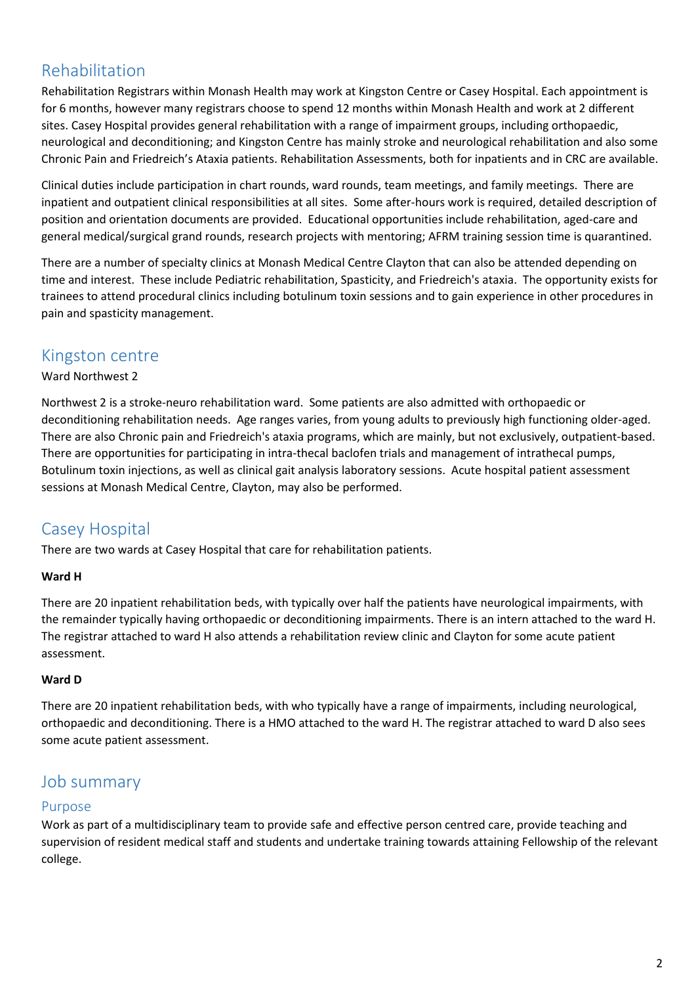# Rehabilitation

Rehabilitation Registrars within Monash Health may work at Kingston Centre or Casey Hospital. Each appointment is for 6 months, however many registrars choose to spend 12 months within Monash Health and work at 2 different sites. Casey Hospital provides general rehabilitation with a range of impairment groups, including orthopaedic, neurological and deconditioning; and Kingston Centre has mainly stroke and neurological rehabilitation and also some Chronic Pain and Friedreich's Ataxia patients. Rehabilitation Assessments, both for inpatients and in CRC are available.

Clinical duties include participation in chart rounds, ward rounds, team meetings, and family meetings. There are inpatient and outpatient clinical responsibilities at all sites. Some after-hours work is required, detailed description of position and orientation documents are provided. Educational opportunities include rehabilitation, aged-care and general medical/surgical grand rounds, research projects with mentoring; AFRM training session time is quarantined.

There are a number of specialty clinics at Monash Medical Centre Clayton that can also be attended depending on time and interest. These include Pediatric rehabilitation, Spasticity, and Friedreich's ataxia. The opportunity exists for trainees to attend procedural clinics including botulinum toxin sessions and to gain experience in other procedures in pain and spasticity management.

## Kingston centre

## Ward Northwest 2

Northwest 2 is a stroke-neuro rehabilitation ward. Some patients are also admitted with orthopaedic or deconditioning rehabilitation needs. Age ranges varies, from young adults to previously high functioning older-aged. There are also Chronic pain and Friedreich's ataxia programs, which are mainly, but not exclusively, outpatient-based. There are opportunities for participating in intra-thecal baclofen trials and management of intrathecal pumps, Botulinum toxin injections, as well as clinical gait analysis laboratory sessions. Acute hospital patient assessment sessions at Monash Medical Centre, Clayton, may also be performed.

# Casey Hospital

There are two wards at Casey Hospital that care for rehabilitation patients.

## **Ward H**

There are 20 inpatient rehabilitation beds, with typically over half the patients have neurological impairments, with the remainder typically having orthopaedic or deconditioning impairments. There is an intern attached to the ward H. The registrar attached to ward H also attends a rehabilitation review clinic and Clayton for some acute patient assessment.

#### **Ward D**

There are 20 inpatient rehabilitation beds, with who typically have a range of impairments, including neurological, orthopaedic and deconditioning. There is a HMO attached to the ward H. The registrar attached to ward D also sees some acute patient assessment.

## Job summary

## Purpose

Work as part of a multidisciplinary team to provide safe and effective person centred care, provide teaching and supervision of resident medical staff and students and undertake training towards attaining Fellowship of the relevant college.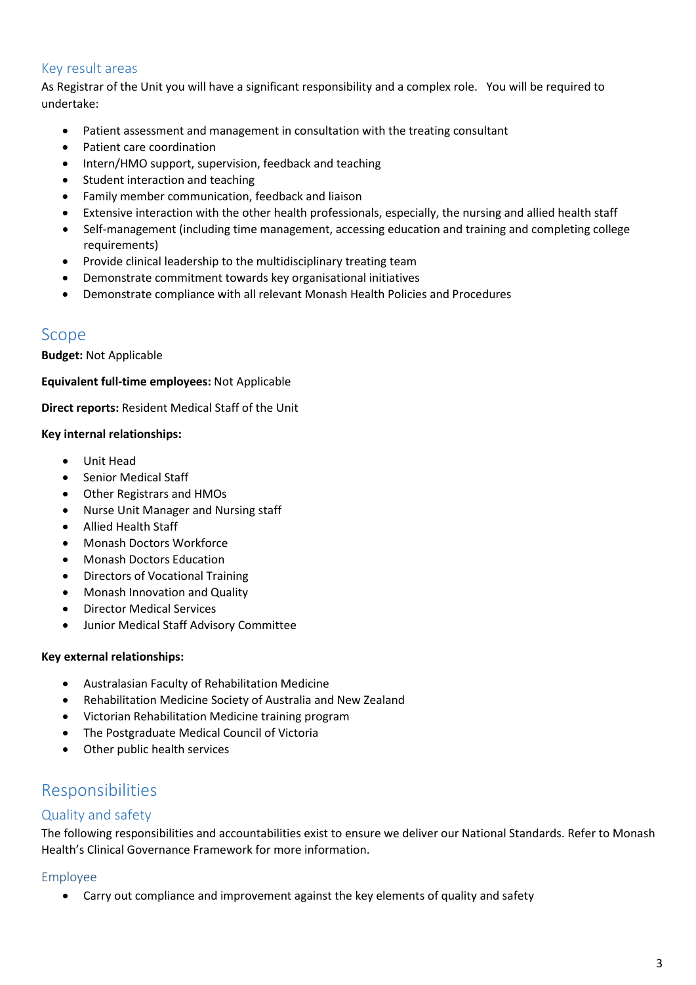## Key result areas

As Registrar of the Unit you will have a significant responsibility and a complex role. You will be required to undertake:

- Patient assessment and management in consultation with the treating consultant
- Patient care coordination
- Intern/HMO support, supervision, feedback and teaching
- Student interaction and teaching
- Family member communication, feedback and liaison
- Extensive interaction with the other health professionals, especially, the nursing and allied health staff
- Self-management (including time management, accessing education and training and completing college requirements)
- Provide clinical leadership to the multidisciplinary treating team
- Demonstrate commitment towards key organisational initiatives
- Demonstrate compliance with all relevant Monash Health Policies and Procedures

## Scope

**Budget:** Not Applicable

**Equivalent full-time employees:** Not Applicable

**Direct reports:** Resident Medical Staff of the Unit

#### **Key internal relationships:**

- Unit Head
- Senior Medical Staff
- Other Registrars and HMOs
- Nurse Unit Manager and Nursing staff
- Allied Health Staff
- Monash Doctors Workforce
- Monash Doctors Education
- Directors of Vocational Training
- Monash Innovation and Quality
- Director Medical Services
- Junior Medical Staff Advisory Committee

#### **Key external relationships:**

- Australasian Faculty of Rehabilitation Medicine
- Rehabilitation Medicine Society of Australia and New Zealand
- Victorian Rehabilitation Medicine training program
- The Postgraduate Medical Council of Victoria
- Other public health services

## Responsibilities

## Quality and safety

The following responsibilities and accountabilities exist to ensure we deliver our National Standards. Refer to Monash Health's Clinical Governance Framework for more information.

#### Employee

• Carry out compliance and improvement against the key elements of quality and safety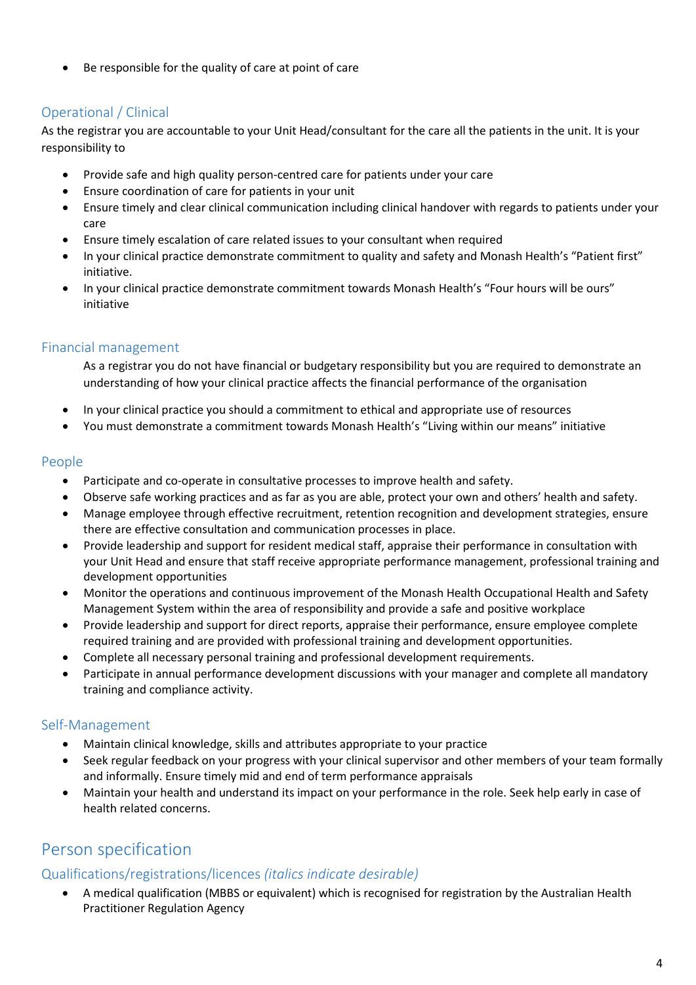• Be responsible for the quality of care at point of care

## Operational / Clinical

As the registrar you are accountable to your Unit Head/consultant for the care all the patients in the unit. It is your responsibility to

- Provide safe and high quality person-centred care for patients under your care
- Ensure coordination of care for patients in your unit
- Ensure timely and clear clinical communication including clinical handover with regards to patients under your care
- Ensure timely escalation of care related issues to your consultant when required
- In your clinical practice demonstrate commitment to quality and safety and Monash Health's "Patient first" initiative.
- In your clinical practice demonstrate commitment towards Monash Health's "Four hours will be ours" initiative

## Financial management

As a registrar you do not have financial or budgetary responsibility but you are required to demonstrate an understanding of how your clinical practice affects the financial performance of the organisation

- In your clinical practice you should a commitment to ethical and appropriate use of resources
- You must demonstrate a commitment towards Monash Health's "Living within our means" initiative

## People

- Participate and co-operate in consultative processes to improve health and safety.
- Observe safe working practices and as far as you are able, protect your own and others' health and safety.
- Manage employee through effective recruitment, retention recognition and development strategies, ensure there are effective consultation and communication processes in place.
- Provide leadership and support for resident medical staff, appraise their performance in consultation with your Unit Head and ensure that staff receive appropriate performance management, professional training and development opportunities
- Monitor the operations and continuous improvement of the Monash Health Occupational Health and Safety Management System within the area of responsibility and provide a safe and positive workplace
- Provide leadership and support for direct reports, appraise their performance, ensure employee complete required training and are provided with professional training and development opportunities.
- Complete all necessary personal training and professional development requirements.
- Participate in annual performance development discussions with your manager and complete all mandatory training and compliance activity.

## Self-Management

- Maintain clinical knowledge, skills and attributes appropriate to your practice
- Seek regular feedback on your progress with your clinical supervisor and other members of your team formally and informally. Ensure timely mid and end of term performance appraisals
- Maintain your health and understand its impact on your performance in the role. Seek help early in case of health related concerns.

# Person specification

## Qualifications/registrations/licences *(italics indicate desirable)*

• A medical qualification (MBBS or equivalent) which is recognised for registration by the Australian Health Practitioner Regulation Agency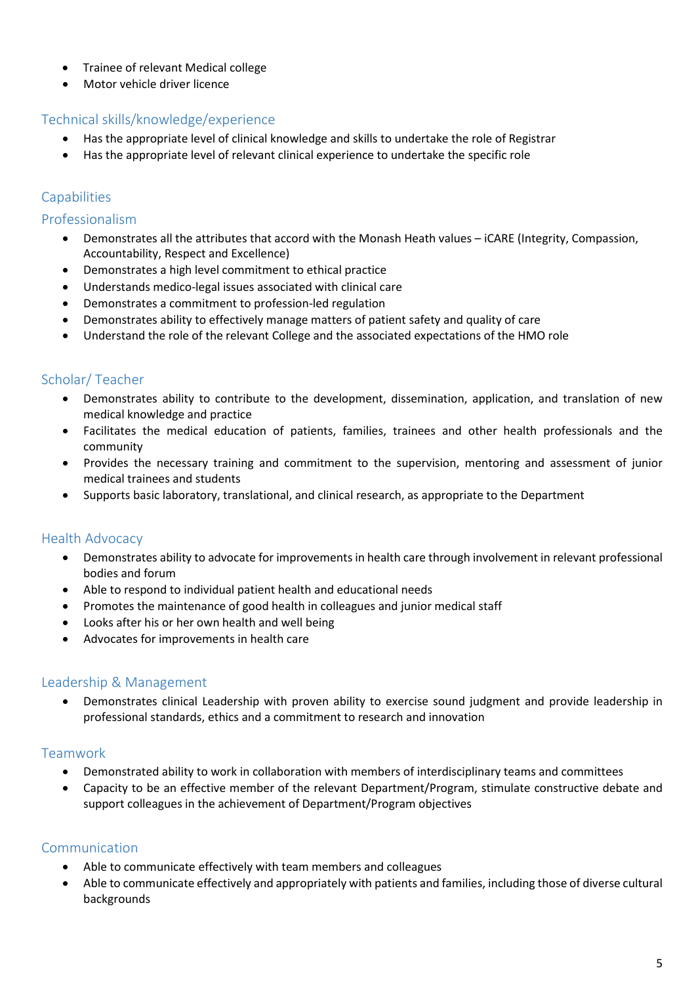- Trainee of relevant Medical college
- Motor vehicle driver licence

## Technical skills/knowledge/experience

- Has the appropriate level of clinical knowledge and skills to undertake the role of Registrar
- Has the appropriate level of relevant clinical experience to undertake the specific role

## **Capabilities**

#### Professionalism

- Demonstrates all the attributes that accord with the Monash Heath values iCARE (Integrity, Compassion, Accountability, Respect and Excellence)
- Demonstrates a high level commitment to ethical practice
- Understands medico-legal issues associated with clinical care
- Demonstrates a commitment to profession-led regulation
- Demonstrates ability to effectively manage matters of patient safety and quality of care
- Understand the role of the relevant College and the associated expectations of the HMO role

## Scholar/ Teacher

- Demonstrates ability to contribute to the development, dissemination, application, and translation of new medical knowledge and practice
- Facilitates the medical education of patients, families, trainees and other health professionals and the community
- Provides the necessary training and commitment to the supervision, mentoring and assessment of junior medical trainees and students
- Supports basic laboratory, translational, and clinical research, as appropriate to the Department

## Health Advocacy

- Demonstrates ability to advocate for improvements in health care through involvement in relevant professional bodies and forum
- Able to respond to individual patient health and educational needs
- Promotes the maintenance of good health in colleagues and junior medical staff
- Looks after his or her own health and well being
- Advocates for improvements in health care

#### Leadership & Management

• Demonstrates clinical Leadership with proven ability to exercise sound judgment and provide leadership in professional standards, ethics and a commitment to research and innovation

## Teamwork

- Demonstrated ability to work in collaboration with members of interdisciplinary teams and committees
- Capacity to be an effective member of the relevant Department/Program, stimulate constructive debate and support colleagues in the achievement of Department/Program objectives

## Communication

- Able to communicate effectively with team members and colleagues
- Able to communicate effectively and appropriately with patients and families, including those of diverse cultural backgrounds